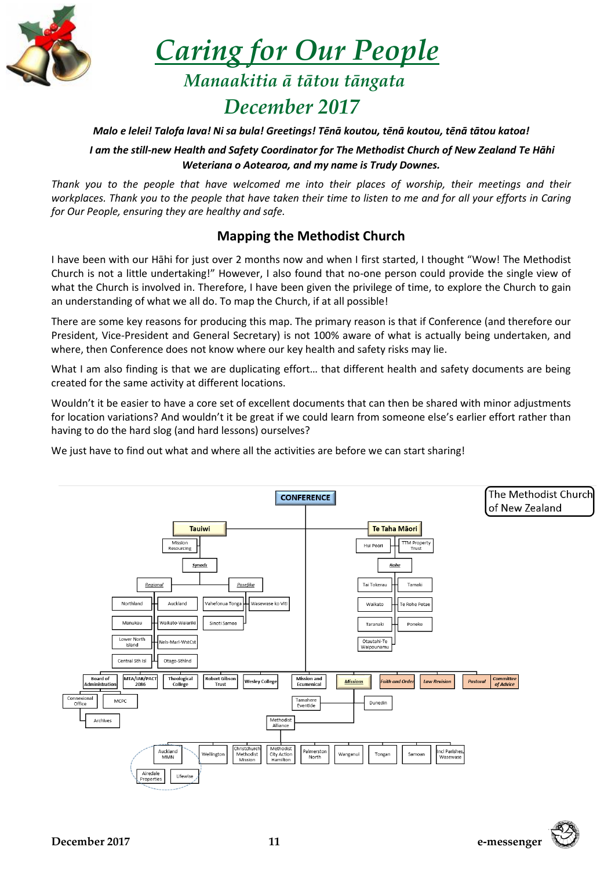

 *Caring for Our People*

 *Manaakitia ā tātou tāngata December 2017*

#### *Malo e lelei! Talofa lava! Ni sa bula! Greetings! Tēnā koutou, tēnā koutou, tēnā tātou katoa!*

*I am the still-new Health and Safety Coordinator for The Methodist Church of New Zealand Te Hāhi Weteriana o Aotearoa, and my name is Trudy Downes.*

*Thank you to the people that have welcomed me into their places of worship, their meetings and their workplaces. Thank you to the people that have taken their time to listen to me and for all your efforts in Caring for Our People, ensuring they are healthy and safe.*

## **Mapping the Methodist Church**

I have been with our Hāhi for just over 2 months now and when I first started, I thought "Wow! The Methodist Church is not a little undertaking!" However, I also found that no-one person could provide the single view of what the Church is involved in. Therefore, I have been given the privilege of time, to explore the Church to gain an understanding of what we all do. To map the Church, if at all possible!

There are some key reasons for producing this map. The primary reason is that if Conference (and therefore our President, Vice-President and General Secretary) is not 100% aware of what is actually being undertaken, and where, then Conference does not know where our key health and safety risks may lie.

What I am also finding is that we are duplicating effort… that different health and safety documents are being created for the same activity at different locations.

Wouldn't it be easier to have a core set of excellent documents that can then be shared with minor adjustments for location variations? And wouldn't it be great if we could learn from someone else's earlier effort rather than having to do the hard slog (and hard lessons) ourselves?

We just have to find out what and where all the activities are before we can start sharing!